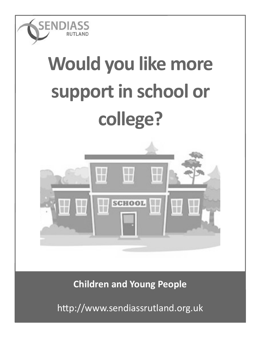

## **Would you like more support in school or college?**



**Children and Young People**

http://www.sendiassrutland.org.uk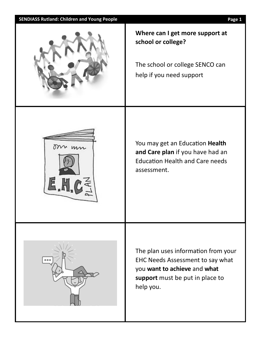| <b>SENDIASS Rutland: Children and Young People</b> | Page 1                                                                                                                                                  |
|----------------------------------------------------|---------------------------------------------------------------------------------------------------------------------------------------------------------|
|                                                    | Where can I get more support at<br>school or college?<br>The school or college SENCO can<br>help if you need support                                    |
| om un                                              | You may get an Education Health<br>and Care plan if you have had an<br><b>Education Health and Care needs</b><br>assessment.                            |
| 000                                                | The plan uses information from your<br>EHC Needs Assessment to say what<br>you want to achieve and what<br>support must be put in place to<br>help you. |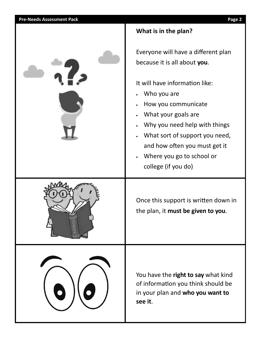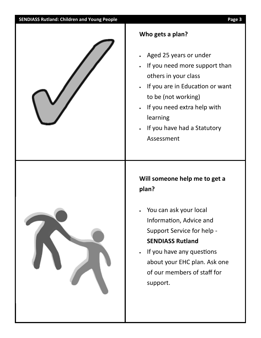